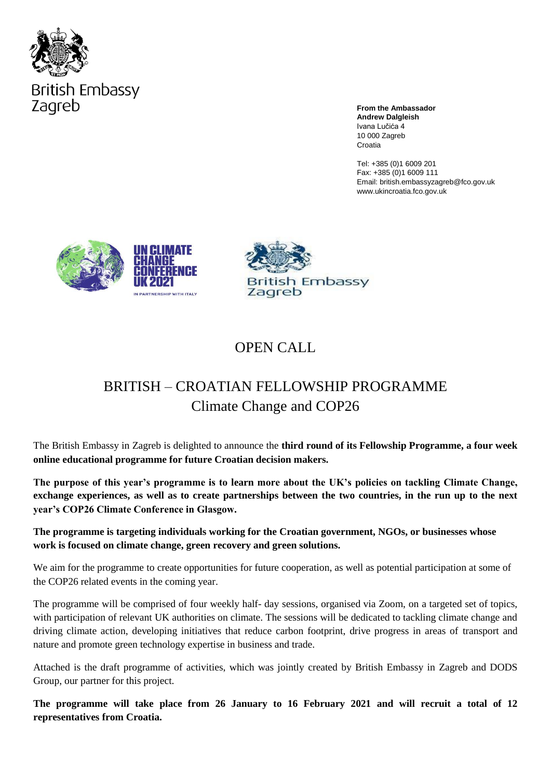

**From the Ambassador Andrew Dalgleish** Ivana Lučića 4 10 000 Zagreb Croatia

Tel: +385 (0)1 6009 201 Fax: +385 (0)1 6009 111 Email: british.embassyzagreb@fco.gov.uk www.ukincroatia.fco.gov.uk





## OPEN CALL

## BRITISH – CROATIAN FELLOWSHIP PROGRAMME Climate Change and COP26

The British Embassy in Zagreb is delighted to announce the **third round of its Fellowship Programme, a four week online educational programme for future Croatian decision makers.** 

**The purpose of this year's programme is to learn more about the UK's policies on tackling Climate Change, exchange experiences, as well as to create partnerships between the two countries, in the run up to the next year's COP26 Climate Conference in Glasgow.** 

**The programme is targeting individuals working for the Croatian government, NGOs, or businesses whose work is focused on climate change, green recovery and green solutions.**

We aim for the programme to create opportunities for future cooperation, as well as potential participation at some of the COP26 related events in the coming year.

The programme will be comprised of four weekly half- day sessions, organised via Zoom, on a targeted set of topics, with participation of relevant UK authorities on climate. The sessions will be dedicated to tackling climate change and driving climate action, developing initiatives that reduce carbon footprint, drive progress in areas of transport and nature and promote green technology expertise in business and trade.

Attached is the draft programme of activities, which was jointly created by British Embassy in Zagreb and DODS Group, our partner for this project.

**The programme will take place from 26 January to 16 February 2021 and will recruit a total of 12 representatives from Croatia.**